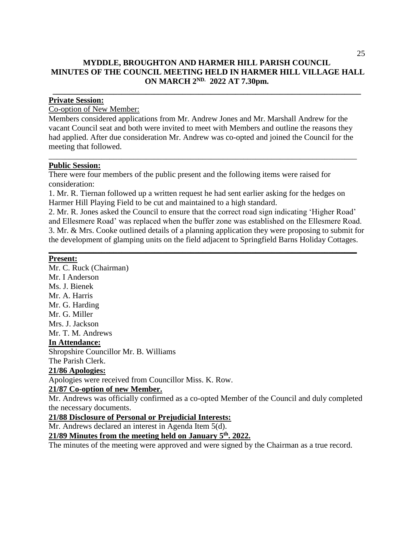### **MYDDLE, BROUGHTON AND HARMER HILL PARISH COUNCIL MINUTES OF THE COUNCIL MEETING HELD IN HARMER HILL VILLAGE HALL ON MARCH 2ND. 2022 AT 7.30pm.**

**\_\_\_\_\_\_\_\_\_\_\_\_\_\_\_\_\_\_\_\_\_\_\_\_\_\_\_\_\_\_\_\_\_\_\_\_\_\_\_\_\_\_\_\_\_\_\_\_\_\_\_\_\_\_\_\_\_\_\_\_\_\_\_\_\_\_\_\_\_\_\_\_\_\_\_\_**

#### **Private Session:**

#### Co-option of New Member:

Members considered applications from Mr. Andrew Jones and Mr. Marshall Andrew for the vacant Council seat and both were invited to meet with Members and outline the reasons they had applied. After due consideration Mr. Andrew was co-opted and joined the Council for the meeting that followed.

\_\_\_\_\_\_\_\_\_\_\_\_\_\_\_\_\_\_\_\_\_\_\_\_\_\_\_\_\_\_\_\_\_\_\_\_\_\_\_\_\_\_\_\_\_\_\_\_\_\_\_\_\_\_\_\_\_\_\_\_\_\_\_\_\_\_\_\_\_\_\_\_\_\_\_\_

#### **Public Session:**

There were four members of the public present and the following items were raised for consideration:

1. Mr. R. Tiernan followed up a written request he had sent earlier asking for the hedges on Harmer Hill Playing Field to be cut and maintained to a high standard.

2. Mr. R. Jones asked the Council to ensure that the correct road sign indicating 'Higher Road' and Ellesmere Road' was replaced when the buffer zone was established on the Ellesmere Road. 3. Mr. & Mrs. Cooke outlined details of a planning application they were proposing to submit for the development of glamping units on the field adjacent to Springfield Barns Holiday Cottages.

**\_\_\_\_\_\_\_\_\_\_\_\_\_\_\_\_\_\_\_\_\_\_\_\_\_\_\_\_\_\_\_\_\_\_\_\_\_\_\_\_\_\_\_\_\_\_\_\_\_\_\_\_\_\_\_\_\_\_\_\_\_\_\_\_\_\_\_\_\_\_\_\_\_\_\_\_**

#### **Present:**

Mr. C. Ruck (Chairman) Mr. I Anderson Ms. J. Bienek Mr. A. Harris Mr. G. Harding Mr. G. Miller Mrs. J. Jackson Mr. T. M. Andrews **In Attendance:** Shropshire Councillor Mr. B. Williams The Parish Clerk. **21/86 Apologies:** Apologies were received from Councillor Miss. K. Row. **21/87 Co-option of new Member.**

Mr. Andrews was officially confirmed as a co-opted Member of the Council and duly completed the necessary documents.

#### **21/88 Disclosure of Personal or Prejudicial Interests:**

Mr. Andrews declared an interest in Agenda Item 5(d).

**21/89 Minutes from the meeting held on January 5 th . 2022.**

The minutes of the meeting were approved and were signed by the Chairman as a true record.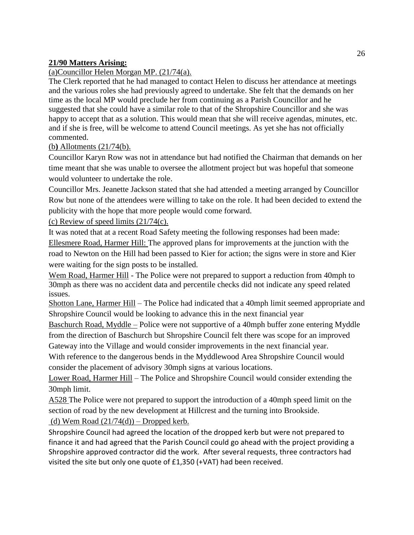### **21/90 Matters Arising:**

## (a)Councillor Helen Morgan MP. (21/74(a).

The Clerk reported that he had managed to contact Helen to discuss her attendance at meetings and the various roles she had previously agreed to undertake. She felt that the demands on her time as the local MP would preclude her from continuing as a Parish Councillor and he suggested that she could have a similar role to that of the Shropshire Councillor and she was happy to accept that as a solution. This would mean that she will receive agendas, minutes, etc. and if she is free, will be welcome to attend Council meetings. As yet she has not officially commented.

### (b**)** Allotments (21/74(b).

Councillor Karyn Row was not in attendance but had notified the Chairman that demands on her time meant that she was unable to oversee the allotment project but was hopeful that someone would volunteer to undertake the role.

Councillor Mrs. Jeanette Jackson stated that she had attended a meeting arranged by Councillor Row but none of the attendees were willing to take on the role. It had been decided to extend the publicity with the hope that more people would come forward.

(c) Review of speed limits (21/74(c).

It was noted that at a recent Road Safety meeting the following responses had been made: Ellesmere Road, Harmer Hill: The approved plans for improvements at the junction with the road to Newton on the Hill had been passed to Kier for action; the signs were in store and Kier were waiting for the sign posts to be installed.

Wem Road, Harmer Hill - The Police were not prepared to support a reduction from 40mph to 30mph as there was no accident data and percentile checks did not indicate any speed related issues.

Shotton Lane, Harmer Hill – The Police had indicated that a 40mph limit seemed appropriate and Shropshire Council would be looking to advance this in the next financial year

Baschurch Road, Myddle – Police were not supportive of a 40mph buffer zone entering Myddle from the direction of Baschurch but Shropshire Council felt there was scope for an improved Gateway into the Village and would consider improvements in the next financial year.

With reference to the dangerous bends in the Myddlewood Area Shropshire Council would consider the placement of advisory 30mph signs at various locations.

Lower Road, Harmer Hill – The Police and Shropshire Council would consider extending the 30mph limit.

A528 The Police were not prepared to support the introduction of a 40mph speed limit on the section of road by the new development at Hillcrest and the turning into Brookside. (d) Wem Road  $(21/74(d))$  – Dropped kerb.

Shropshire Council had agreed the location of the dropped kerb but were not prepared to finance it and had agreed that the Parish Council could go ahead with the project providing a Shropshire approved contractor did the work. After several requests, three contractors had visited the site but only one quote of £1,350 (+VAT) had been received.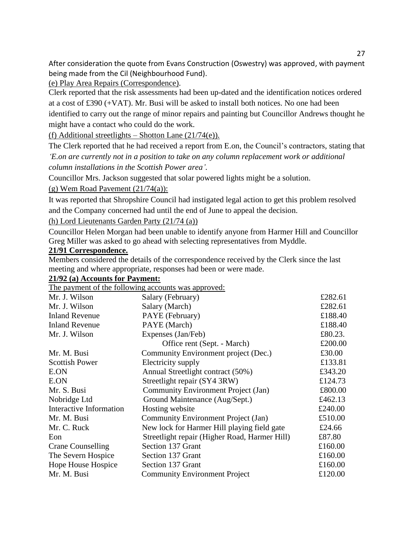After consideration the quote from Evans Construction (Oswestry) was approved, with payment being made from the Cil (Neighbourhood Fund).

(e) Play Area Repairs (Correspondence).

Clerk reported that the risk assessments had been up-dated and the identification notices ordered at a cost of £390 (+VAT). Mr. Busi will be asked to install both notices. No one had been identified to carry out the range of minor repairs and painting but Councillor Andrews thought he might have a contact who could do the work.

(f) Additional streetlights – Shotton Lane  $(21/74(e))$ .

The Clerk reported that he had received a report from E.on, the Council's contractors, stating that

*'E.on are currently not in a position to take on any column replacement work or additional column installations in the Scottish Power area'.*

Councillor Mrs. Jackson suggested that solar powered lights might be a solution.

(g) Wem Road Pavement  $(21/74(a))$ :

It was reported that Shropshire Council had instigated legal action to get this problem resolved and the Company concerned had until the end of June to appeal the decision.

(h) Lord Lieutenants Garden Party (21/74 (a))

Councillor Helen Morgan had been unable to identify anyone from Harmer Hill and Councillor Greg Miller was asked to go ahead with selecting representatives from Myddle.

#### **21/91 Correspondence.**

Members considered the details of the correspondence received by the Clerk since the last meeting and where appropriate, responses had been or were made.

#### **21/92 (a) Accounts for Payment:**

The payment of the following accounts was approved.

| <u>The payment of the following accounts was apply real</u> |                                               |         |
|-------------------------------------------------------------|-----------------------------------------------|---------|
| Mr. J. Wilson                                               | Salary (February)                             | £282.61 |
| Mr. J. Wilson                                               | Salary (March)                                | £282.61 |
| <b>Inland Revenue</b>                                       | PAYE (February)                               | £188.40 |
| <b>Inland Revenue</b>                                       | PAYE (March)                                  | £188.40 |
| Mr. J. Wilson                                               | Expenses (Jan/Feb)                            | £80.23. |
|                                                             | Office rent (Sept. - March)                   | £200.00 |
| Mr. M. Busi                                                 | Community Environment project (Dec.)          | £30.00  |
| <b>Scottish Power</b>                                       | Electricity supply                            | £133.81 |
| E.ON                                                        | Annual Streetlight contract (50%)             | £343.20 |
| E.ON                                                        | Streetlight repair (SY4 3RW)                  | £124.73 |
| Mr. S. Busi                                                 | Community Environment Project (Jan)           | £800.00 |
| Nobridge Ltd                                                | Ground Maintenance (Aug/Sept.)                | £462.13 |
| Interactive Information                                     | Hosting website                               | £240.00 |
| Mr. M. Busi                                                 | Community Environment Project (Jan)           | £510.00 |
| Mr. C. Ruck                                                 | New lock for Harmer Hill playing field gate   | £24.66  |
| Eon                                                         | Streetlight repair (Higher Road, Harmer Hill) | £87.80  |
| <b>Crane Counselling</b>                                    | Section 137 Grant                             | £160.00 |
| The Severn Hospice                                          | Section 137 Grant                             | £160.00 |
| Hope House Hospice                                          | Section 137 Grant                             | £160.00 |
| Mr. M. Busi                                                 | <b>Community Environment Project</b>          | £120.00 |
|                                                             |                                               |         |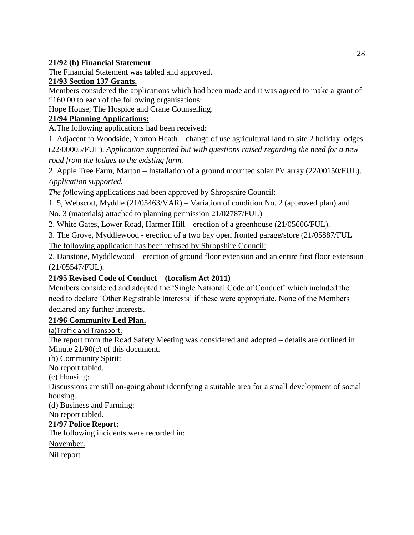#### **21/92 (b) Financial Statement**

The Financial Statement was tabled and approved.

### **21/93 Section 137 Grants.**

Members considered the applications which had been made and it was agreed to make a grant of £160.00 to each of the following organisations:

Hope House; The Hospice and Crane Counselling.

# **21/94 Planning Applications:**

A.The following applications had been received:

1. Adjacent to Woodside, Yorton Heath – change of use agricultural land to site 2 holiday lodges (22/00005/FUL). *Application supported but with questions raised regarding the need for a new road from the lodges to the existing farm.*

2. Apple Tree Farm, Marton – Installation of a ground mounted solar PV array (22/00150/FUL). *Application supported.*

*The fol*lowing applications had been approved by Shropshire Council:

1. 5, Webscott, Myddle (21/05463/VAR) – Variation of condition No. 2 (approved plan) and No. 3 (materials) attached to planning permission 21/02787/FUL)

2. White Gates, Lower Road, Harmer Hill – erection of a greenhouse (21/05606/FUL).

3. The Grove, Myddlewood - erection of a two bay open fronted garage/store (21/05887/FUL

The following application has been refused by Shropshire Council:

2. Danstone, Myddlewood – erection of ground floor extension and an entire first floor extension (21/05547/FUL).

# **21/95 Revised Code of Conduct – (Localism Act 2011)**

Members considered and adopted the 'Single National Code of Conduct' which included the need to declare 'Other Registrable Interests' if these were appropriate. None of the Members declared any further interests.

### **21/96 Community Led Plan.**

(a)Traffic and Transport:

The report from the Road Safety Meeting was considered and adopted – details are outlined in Minute 21/90(c) of this document.

(b) Community Spirit:

No report tabled.

### (c) Housing:

Discussions are still on-going about identifying a suitable area for a small development of social housing.

(d) Business and Farming:

No report tabled.

# **21/97 Police Report:**

The following incidents were recorded in:

November:

Nil report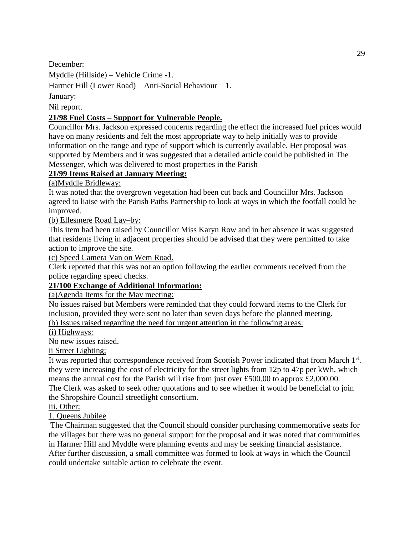December:

Myddle (Hillside) – Vehicle Crime -1.

Harmer Hill (Lower Road) – Anti-Social Behaviour – 1.

January:

Nil report.

## **21/98 Fuel Costs – Support for Vulnerable People.**

Councillor Mrs. Jackson expressed concerns regarding the effect the increased fuel prices would have on many residents and felt the most appropriate way to help initially was to provide information on the range and type of support which is currently available. Her proposal was supported by Members and it was suggested that a detailed article could be published in The Messenger, which was delivered to most properties in the Parish

## **21/99 Items Raised at January Meeting:**

(a)Myddle Bridleway:

It was noted that the overgrown vegetation had been cut back and Councillor Mrs. Jackson agreed to liaise with the Parish Paths Partnership to look at ways in which the footfall could be improved.

(b) Ellesmere Road Lay–by:

This item had been raised by Councillor Miss Karyn Row and in her absence it was suggested that residents living in adjacent properties should be advised that they were permitted to take action to improve the site.

(c) Speed Camera Van on Wem Road.

Clerk reported that this was not an option following the earlier comments received from the police regarding speed checks.

### **21/100 Exchange of Additional Information:**

(a)Agenda Items for the May meeting:

No issues raised but Members were reminded that they could forward items to the Clerk for inclusion, provided they were sent no later than seven days before the planned meeting. (b) Issues raised regarding the need for urgent attention in the following areas:

(i) Highways:

No new issues raised.

ii Street Lighting;

It was reported that correspondence received from Scottish Power indicated that from March 1st. they were increasing the cost of electricity for the street lights from 12p to 47p per kWh, which means the annual cost for the Parish will rise from just over £500.00 to approx £2,000.00. The Clerk was asked to seek other quotations and to see whether it would be beneficial to join the Shropshire Council streetlight consortium.

### iii. Other:

1. Queens Jubilee

The Chairman suggested that the Council should consider purchasing commemorative seats for the villages but there was no general support for the proposal and it was noted that communities in Harmer Hill and Myddle were planning events and may be seeking financial assistance. After further discussion, a small committee was formed to look at ways in which the Council could undertake suitable action to celebrate the event.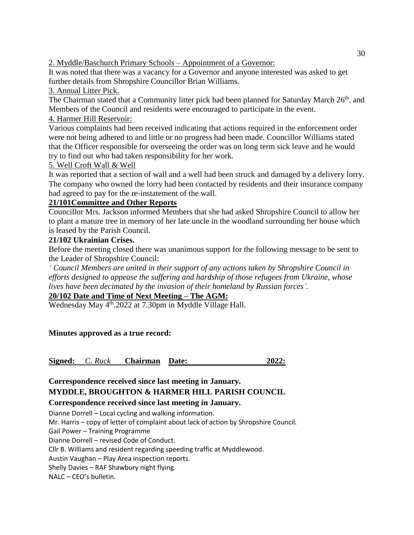2. Myddle/Baschurch Primary Schools – Appointment of a Governor:

It was noted that there was a vacancy for a Governor and anyone interested was asked to get further details from Shropshire Councillor Brian Williams.

# 3. Annual Litter Pick.

The Chairman stated that a Community litter pick had been planned for Saturday March 26<sup>th</sup>. and Members of the Council and residents were encouraged to participate in the event.

# 4. Harmer Hill Reservoir:

Various complaints had been received indicating that actions required in the enforcement order were not being adhered to and little or no progress had been made. Councillor Williams stated that the Officer responsible for overseeing the order was on long term sick leave and he would try to find out who had taken responsibility for her work.

# 5. Well Croft Wall & Well

It was reported that a section of wall and a well had been struck and damaged by a delivery lorry. The company who owned the lorry had been contacted by residents and their insurance company had agreed to pay for the re-instatement of the wall.

# **21/101Committee and Other Reports**

Councillor Mrs. Jackson informed Members that she had asked Shropshire Council to allow her to plant a mature tree in memory of her late uncle in the woodland surrounding her house which is leased by the Parish Council.

# **21/102 Ukrainian Crises.**

Before the meeting closed there was unanimous support for the following message to be sent to the Leader of Shropshire Council:

*' Council Members are united in their support of any actions taken by Shropshire Council in efforts designed to appease the suffering and hardship of those refugees from Ukraine, whose lives have been decimated by the invasion of their homeland by Russian forces'.*

# **20/102 Date and Time of Next Meeting – The AGM:**

Wednesday May 4<sup>th</sup>.2022 at 7.30pm in Myddle Village Hall.

# **Minutes approved as a true record:**

**Signed:** *C. Ruck* **Chairman Date: 2022:**

# **Correspondence received since last meeting in January. MYDDLE, BROUGHTON & HARMER HILL PARISH COUNCIL**

# **Correspondence received since last meeting in January.**

Dianne Dorrell – Local cycling and walking information.

Mr. Harris – copy of letter of complaint about lack of action by Shropshire Council.

Gail Power – Training Programme

Dianne Dorrell – revised Code of Conduct.

Cllr B. Williams and resident regarding speeding traffic at Myddlewood.

Austin Vaughan – Play Area inspection reports.

Shelly Davies – RAF Shawbury night flying.

NALC – CEO's bulletin.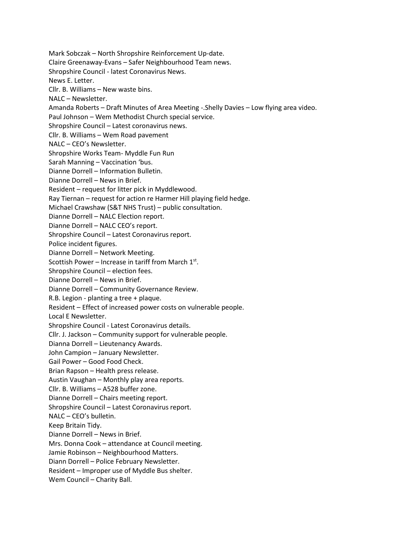Mark Sobczak – North Shropshire Reinforcement Up-date. Claire Greenaway-Evans – Safer Neighbourhood Team news. Shropshire Council - latest Coronavirus News. News E. Letter. Cllr. B. Williams – New waste bins. NALC – Newsletter. Amanda Roberts – Draft Minutes of Area Meeting -.Shelly Davies – Low flying area video. Paul Johnson – Wem Methodist Church special service. Shropshire Council – Latest coronavirus news. Cllr. B. Williams – Wem Road pavement NALC – CEO's Newsletter. Shropshire Works Team- Myddle Fun Run Sarah Manning – Vaccination 'bus. Dianne Dorrell – Information Bulletin. Dianne Dorrell – News in Brief. Resident – request for litter pick in Myddlewood. Ray Tiernan – request for action re Harmer Hill playing field hedge. Michael Crawshaw (S&T NHS Trust) – public consultation. Dianne Dorrell – NALC Election report. Dianne Dorrell – NALC CEO's report. Shropshire Council – Latest Coronavirus report. Police incident figures. Dianne Dorrell – Network Meeting. Scottish Power – Increase in tariff from March  $1<sup>st</sup>$ . Shropshire Council – election fees. Dianne Dorrell – News in Brief. Dianne Dorrell – Community Governance Review. R.B. Legion - planting a tree + plaque. Resident – Effect of increased power costs on vulnerable people. Local E Newsletter. Shropshire Council - Latest Coronavirus details. Cllr. J. Jackson – Community support for vulnerable people. Dianna Dorrell – Lieutenancy Awards. John Campion – January Newsletter. Gail Power – Good Food Check. Brian Rapson – Health press release. Austin Vaughan – Monthly play area reports. Cllr. B. Williams – A528 buffer zone. Dianne Dorrell – Chairs meeting report. Shropshire Council – Latest Coronavirus report. NALC – CEO's bulletin. Keep Britain Tidy. Dianne Dorrell – News in Brief. Mrs. Donna Cook – attendance at Council meeting. Jamie Robinson – Neighbourhood Matters. Diann Dorrell – Police February Newsletter. Resident – Improper use of Myddle Bus shelter. Wem Council – Charity Ball.